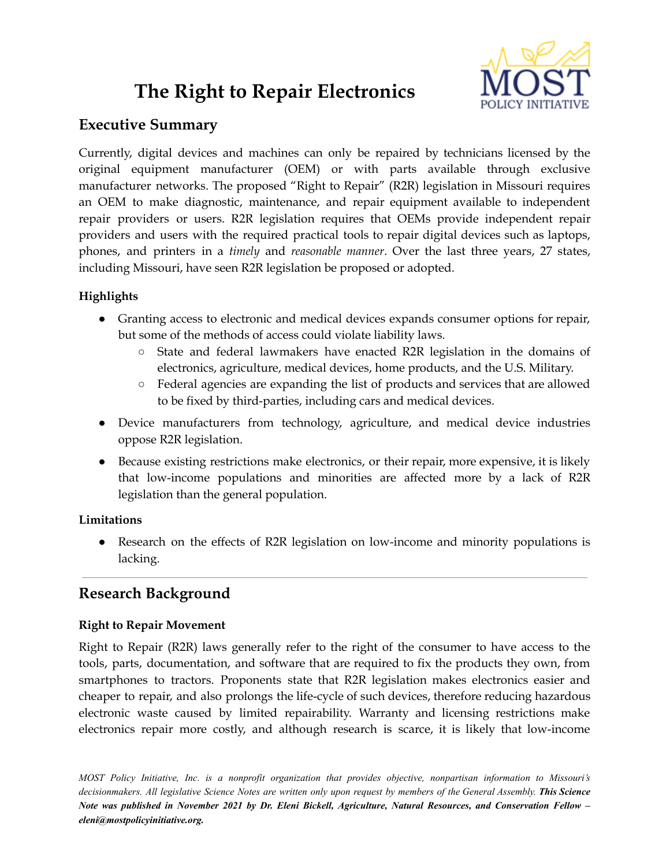# **The Right to Repair Electronics**



# **Executive Summary**

Currently, digital devices and machines can only be repaired by technicians licensed by the original equipment manufacturer (OEM) or with parts available through exclusive manufacturer networks. The proposed "Right to Repair" (R2R) legislation in Missouri requires an OEM to make diagnostic, maintenance, and repair equipment available to independent repair providers or users. R2R legislation requires that OEMs provide independent repair providers and users with the required practical tools to repair digital devices such as laptops, phones, and printers in a *timely* and *reasonable manner*. Over the last three years, 27 states, including Missouri, have seen R2R legislation be proposed or adopted.

# **Highlights**

- Granting access to electronic and medical devices expands consumer options for repair, but some of the methods of access could violate liability laws.
	- State and federal lawmakers have enacted R2R legislation in the domains of electronics, agriculture, medical devices, home products, and the U.S. Military.
	- Federal agencies are expanding the list of products and services that are allowed to be fixed by third-parties, including cars and medical devices.
- Device manufacturers from technology, agriculture, and medical device industries oppose R2R legislation.
- Because existing restrictions make electronics, or their repair, more expensive, it is likely that low-income populations and minorities are affected more by a lack of R2R legislation than the general population.

# **Limitations**

• Research on the effects of R2R legislation on low-income and minority populations is lacking.

# **Research Background**

# **Right to Repair Movement**

Right to Repair (R2R) laws generally refer to the right of the consumer to have access to the tools, parts, documentation, and software that are required to fix the products they own, from smartphones to tractors. Proponents state that R2R legislation makes electronics easier and cheaper to repair, and also prolongs the life-cycle of such devices, therefore reducing hazardous electronic waste caused by limited repairability. Warranty and licensing restrictions make electronics repair more costly, and although research is scarce, it is likely that low-income

*MOST Policy Initiative, Inc. is a nonprofit organization that provides objective, nonpartisan information to Missouri's* decisionmakers. All legislative Science Notes are written only upon request by members of the General Assembly. This Science Note was published in November 2021 by Dr. Eleni Bickell, Agriculture, Natural Resources, and Conservation Fellow *eleni@mostpolicyinitiative.org.*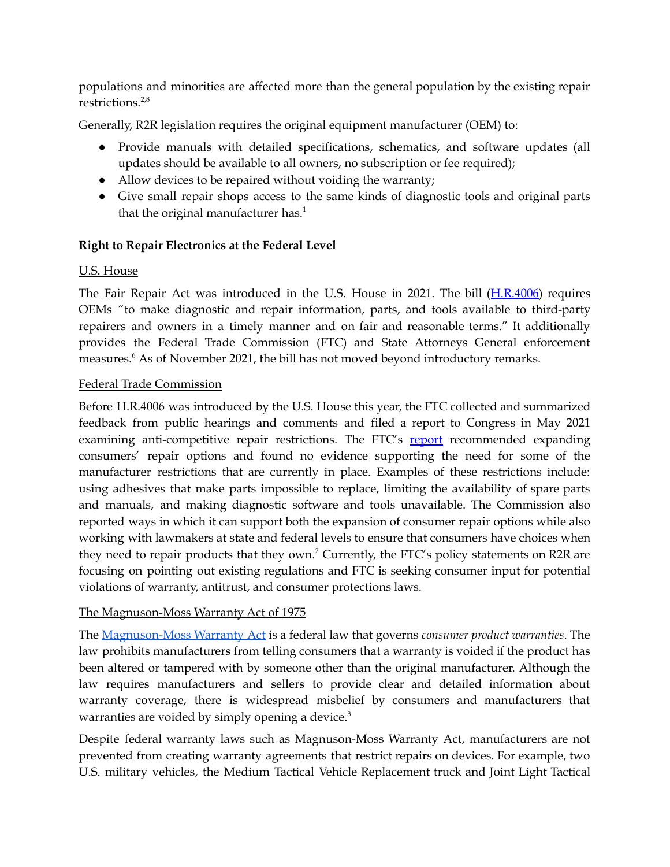populations and minorities are affected more than the general population by the existing repair restrictions. 2,8

Generally, R2R legislation requires the original equipment manufacturer (OEM) to:

- Provide manuals with detailed specifications, schematics, and software updates (all updates should be available to all owners, no subscription or fee required);
- Allow devices to be repaired without voiding the warranty;
- Give small repair shops access to the same kinds of diagnostic tools and original parts that the original manufacturer has.<sup>1</sup>

## **Right to Repair Electronics at the Federal Level**

## U.S. House

The Fair Repair Act was introduced in the U.S. House in 2021. The bill ([H.R.4006\)](https://www.congress.gov/bill/117th-congress/house-bill/4006) requires OEMs "to make diagnostic and repair information, parts, and tools available to third-party repairers and owners in a timely manner and on fair and reasonable terms." It additionally provides the Federal Trade Commission (FTC) and State Attorneys General enforcement measures. <sup>6</sup> As of November 2021, the bill has not moved beyond introductory remarks.

#### Federal Trade Commission

Before H.R.4006 was introduced by the U.S. House this year, the FTC collected and summarized feedback from public hearings and comments and filed a report to Congress in May 2021 examining anti-competitive repair restrictions. The FTC's [report](https://www.ftc.gov/system/files/documents/reports/nixing-fix-ftc-report-congress-repair-restrictions/nixing_the_fix_report_final_5521_630pm-508_002.pdf) recommended expanding consumers' repair options and found no evidence supporting the need for some of the manufacturer restrictions that are currently in place. Examples of these restrictions include: using adhesives that make parts impossible to replace, limiting the availability of spare parts and manuals, and making diagnostic software and tools unavailable. The Commission also reported ways in which it can support both the expansion of consumer repair options while also working with lawmakers at state and federal levels to ensure that consumers have choices when they need to repair products that they own. <sup>2</sup> Currently, the FTC's policy statements on R2R are focusing on pointing out existing regulations and FTC is seeking consumer input for potential violations of warranty, antitrust, and consumer protections laws.

#### The Magnuson-Moss Warranty Act of 1975

The [Magnuson-Moss](https://www.ftc.gov/tips-advice/business-center/guidance/businesspersons-guide-federal-warranty-law) Warranty Act is a federal law that governs *consumer product warranties*. The law prohibits manufacturers from telling consumers that a warranty is voided if the product has been altered or tampered with by someone other than the original manufacturer. Although the law requires manufacturers and sellers to provide clear and detailed information about warranty coverage, there is widespread misbelief by consumers and manufacturers that warranties are voided by simply opening a device.<sup>3</sup>

Despite federal warranty laws such as Magnuson-Moss Warranty Act, manufacturers are not prevented from creating warranty agreements that restrict repairs on devices. For example, two U.S. military vehicles, the Medium Tactical Vehicle Replacement truck and Joint Light Tactical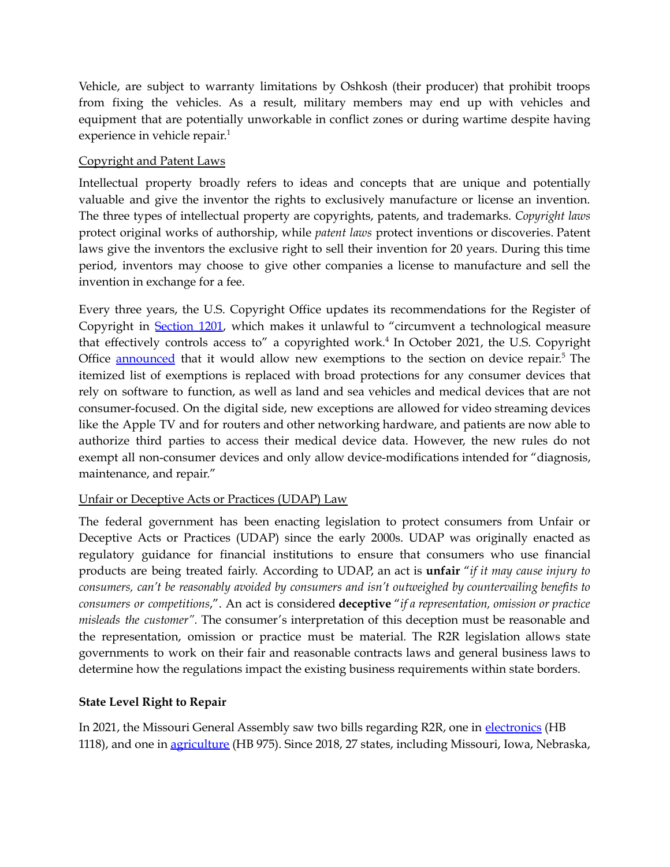Vehicle, are subject to warranty limitations by Oshkosh (their producer) that prohibit troops from fixing the vehicles. As a result, military members may end up with vehicles and equipment that are potentially unworkable in conflict zones or during wartime despite having experience in vehicle repair.<sup>1</sup>

#### Copyright and Patent Laws

Intellectual property broadly refers to ideas and concepts that are unique and potentially valuable and give the inventor the rights to exclusively manufacture or license an invention. The three types of intellectual property are copyrights, patents, and trademarks. *Copyright laws* protect original works of authorship, while *patent laws* protect inventions or discoveries. Patent laws give the inventors the exclusive right to sell their invention for 20 years. During this time period, inventors may choose to give other companies a license to manufacture and sell the invention in exchange for a fee.

Every three years, the U.S. Copyright Office updates its recommendations for the Register of Copyright in [Section](https://www.copyright.gov/title17/92chap12.html) 1201, which makes it unlawful to "circumvent a technological measure that effectively controls access to" a copyrighted work. 4 In October 2021, the U.S. Copyright Office **[announced](https://cdn.loc.gov/copyright/1201/2021/2021_Section_1201_Registers_Recommendation.pdf)** that it would allow new exemptions to the section on device repair.<sup>5</sup> The itemized list of exemptions is replaced with broad protections for any consumer devices that rely on software to function, as well as land and sea vehicles and medical devices that are not consumer-focused. On the digital side, new exceptions are allowed for video streaming devices like the Apple TV and for routers and other networking hardware, and patients are now able to authorize third parties to access their medical device data. However, the new rules do not exempt all non-consumer devices and only allow device-modifications intended for "diagnosis, maintenance, and repair."

#### Unfair or Deceptive Acts or Practices (UDAP) Law

The federal government has been enacting legislation to protect consumers from Unfair or Deceptive Acts or Practices (UDAP) since the early 2000s. UDAP was originally enacted as regulatory guidance for financial institutions to ensure that consumers who use financial products are being treated fairly. According to UDAP, an act is **unfair** "*if it may cause injury to consumers, can't be reasonably avoided by consumers and isn't outweighed by countervailing benefits to consumers or competitions*,". An act is considered **deceptive** "*if a representation, omission or practice misleads the customer".* The consumer's interpretation of this deception must be reasonable and the representation, omission or practice must be material*.* The R2R legislation allows state governments to work on their fair and reasonable contracts laws and general business laws to determine how the regulations impact the existing business requirements within state borders.

#### **State Level Right to Repair**

In 2021, the Missouri General Assembly saw two bills regarding R2R, one in [electronics](https://house.mo.gov/Bill.aspx?bill=HB1118&year=2021&code=R) (HB 1118), and one in [agriculture](https://house.mo.gov/Bill.aspx?bill=HB975&year=2021&code=R) (HB 975). Since 2018, 27 states, including Missouri, Iowa, Nebraska,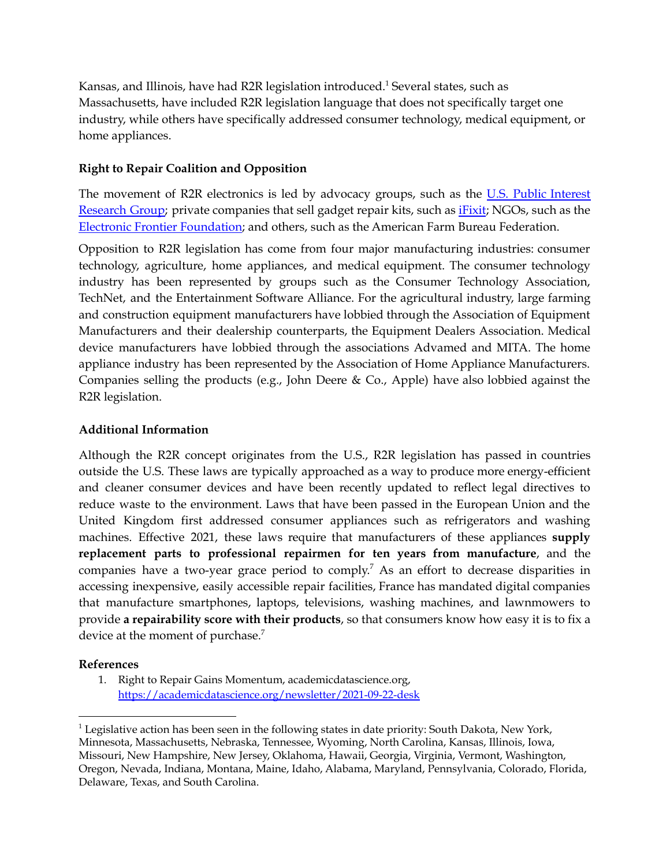Kansas, and Illinois, have had R2R legislation introduced.<sup>1</sup> Several states, such as Massachusetts, have included R2R legislation language that does not specifically target one industry, while others have specifically addressed consumer technology, medical equipment, or home appliances.

#### **Right to Repair Coalition and Opposition**

The movement of R2R electronics is led by advocacy groups, such as the U.S. Public [Interest](https://uspirg.org/feature/usp/right-repair) [Research](https://uspirg.org/feature/usp/right-repair) Group; private companies that sell gadget repair kits, such as [iFixit](https://www.ifixit.com/); NGOs, such as the Electronic Frontier [Foundation](https://www.eff.org/fight); and others, such as the American Farm Bureau Federation.

Opposition to R2R legislation has come from four major manufacturing industries: consumer technology, agriculture, home appliances, and medical equipment. The consumer technology industry has been represented by groups such as the Consumer Technology Association, TechNet, and the Entertainment Software Alliance. For the agricultural industry, large farming and construction equipment manufacturers have lobbied through the Association of Equipment Manufacturers and their dealership counterparts, the Equipment Dealers Association. Medical device manufacturers have lobbied through the associations Advamed and MITA. The home appliance industry has been represented by the Association of Home Appliance Manufacturers. Companies selling the products (e.g., John Deere & Co., Apple) have also lobbied against the R2R legislation.

#### **Additional Information**

Although the R2R concept originates from the U.S., R2R legislation has passed in countries outside the U.S. These laws are typically approached as a way to produce more energy-efficient and cleaner consumer devices and have been recently updated to reflect legal directives to reduce waste to the environment. Laws that have been passed in the European Union and the United Kingdom first addressed consumer appliances such as refrigerators and washing machines. Effective 2021, these laws require that manufacturers of these appliances **supply replacement parts to professional repairmen for ten years from manufacture**, and the companies have a two-year grace period to comply. <sup>7</sup> As an effort to decrease disparities in accessing inexpensive, easily accessible repair facilities, France has mandated digital companies that manufacture smartphones, laptops, televisions, washing machines, and lawnmowers to provide **a repairability score with their products**, so that consumers know how easy it is to fix a device at the moment of purchase.<sup>7</sup>

#### **References**

1. Right to Repair Gains Momentum, academicdatascience.org, <https://academicdatascience.org/newsletter/2021-09-22-desk>

<sup>&</sup>lt;sup>1</sup> Legislative action has been seen in the following states in date priority: South Dakota, New York, Minnesota, Massachusetts, Nebraska, Tennessee, Wyoming, North Carolina, Kansas, Illinois, Iowa, Missouri, New Hampshire, New Jersey, Oklahoma, Hawaii, Georgia, Virginia, Vermont, Washington, Oregon, Nevada, Indiana, Montana, Maine, Idaho, Alabama, Maryland, Pennsylvania, Colorado, Florida, Delaware, Texas, and South Carolina.